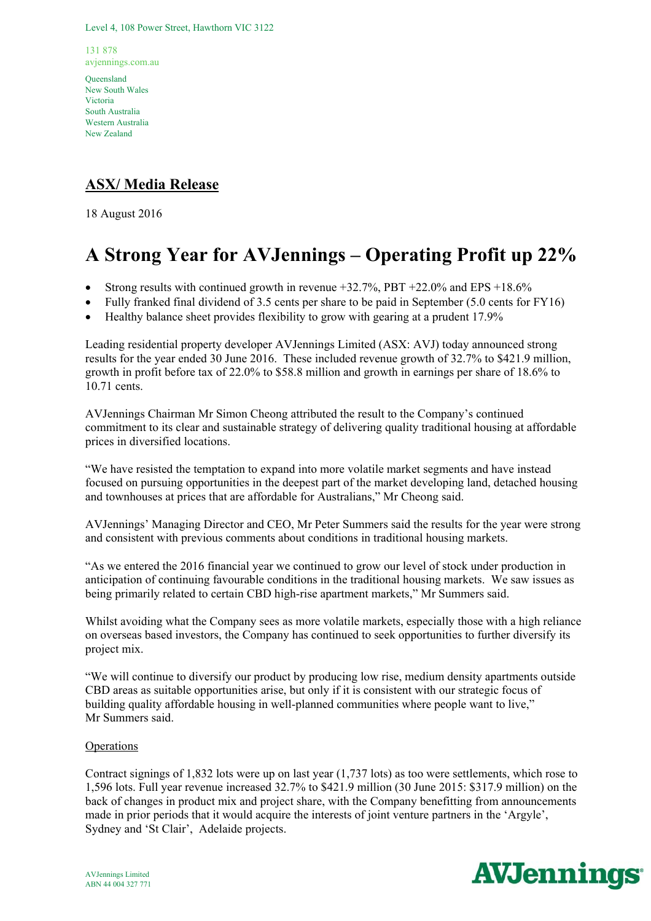Level 4, 108 Power Street, Hawthorn VIC 3122

131 878 avjennings.com.au

Queensland New South Wales Victoria South Australia Western Australia New Zealand

## **ASX/ Media Release**

18 August 2016

# **A Strong Year for AVJennings – Operating Profit up 22%**

- Strong results with continued growth in revenue +32.7%, PBT +22.0% and EPS +18.6%
- Fully franked final dividend of 3.5 cents per share to be paid in September (5.0 cents for FY16)
- Healthy balance sheet provides flexibility to grow with gearing at a prudent 17.9%

Leading residential property developer AVJennings Limited (ASX: AVJ) today announced strong results for the year ended 30 June 2016. These included revenue growth of 32.7% to \$421.9 million, growth in profit before tax of 22.0% to \$58.8 million and growth in earnings per share of 18.6% to 10.71 cents.

AVJennings Chairman Mr Simon Cheong attributed the result to the Company's continued commitment to its clear and sustainable strategy of delivering quality traditional housing at affordable prices in diversified locations.

"We have resisted the temptation to expand into more volatile market segments and have instead focused on pursuing opportunities in the deepest part of the market developing land, detached housing and townhouses at prices that are affordable for Australians," Mr Cheong said.

AVJennings' Managing Director and CEO, Mr Peter Summers said the results for the year were strong and consistent with previous comments about conditions in traditional housing markets.

"As we entered the 2016 financial year we continued to grow our level of stock under production in anticipation of continuing favourable conditions in the traditional housing markets. We saw issues as being primarily related to certain CBD high-rise apartment markets," Mr Summers said.

Whilst avoiding what the Company sees as more volatile markets, especially those with a high reliance on overseas based investors, the Company has continued to seek opportunities to further diversify its project mix.

"We will continue to diversify our product by producing low rise, medium density apartments outside CBD areas as suitable opportunities arise, but only if it is consistent with our strategic focus of building quality affordable housing in well-planned communities where people want to live," Mr Summers said.

### **Operations**

Contract signings of 1,832 lots were up on last year (1,737 lots) as too were settlements, which rose to 1,596 lots. Full year revenue increased 32.7% to \$421.9 million (30 June 2015: \$317.9 million) on the back of changes in product mix and project share, with the Company benefitting from announcements made in prior periods that it would acquire the interests of joint venture partners in the 'Argyle', Sydney and 'St Clair', Adelaide projects.

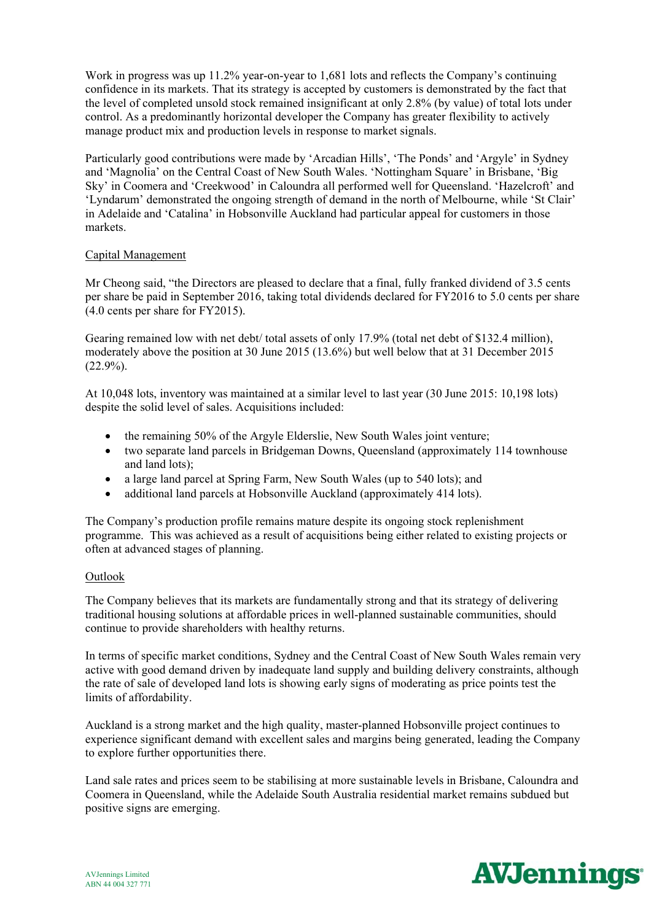Work in progress was up 11.2% year-on-year to 1,681 lots and reflects the Company's continuing confidence in its markets. That its strategy is accepted by customers is demonstrated by the fact that the level of completed unsold stock remained insignificant at only 2.8% (by value) of total lots under control. As a predominantly horizontal developer the Company has greater flexibility to actively manage product mix and production levels in response to market signals.

Particularly good contributions were made by 'Arcadian Hills', 'The Ponds' and 'Argyle' in Sydney and 'Magnolia' on the Central Coast of New South Wales. 'Nottingham Square' in Brisbane, 'Big Sky' in Coomera and 'Creekwood' in Caloundra all performed well for Queensland. 'Hazelcroft' and 'Lyndarum' demonstrated the ongoing strength of demand in the north of Melbourne, while 'St Clair' in Adelaide and 'Catalina' in Hobsonville Auckland had particular appeal for customers in those markets.

#### Capital Management

Mr Cheong said, "the Directors are pleased to declare that a final, fully franked dividend of 3.5 cents per share be paid in September 2016, taking total dividends declared for FY2016 to 5.0 cents per share (4.0 cents per share for FY2015).

Gearing remained low with net debt/ total assets of only 17.9% (total net debt of \$132.4 million), moderately above the position at 30 June 2015 (13.6%) but well below that at 31 December 2015  $(22.9\%)$ .

At 10,048 lots, inventory was maintained at a similar level to last year (30 June 2015: 10,198 lots) despite the solid level of sales. Acquisitions included:

- the remaining 50% of the Argyle Elderslie, New South Wales joint venture;
- two separate land parcels in Bridgeman Downs, Queensland (approximately 114 townhouse and land lots);
- a large land parcel at Spring Farm, New South Wales (up to 540 lots); and
- additional land parcels at Hobsonville Auckland (approximately 414 lots).

The Company's production profile remains mature despite its ongoing stock replenishment programme. This was achieved as a result of acquisitions being either related to existing projects or often at advanced stages of planning.

#### Outlook

The Company believes that its markets are fundamentally strong and that its strategy of delivering traditional housing solutions at affordable prices in well-planned sustainable communities, should continue to provide shareholders with healthy returns.

In terms of specific market conditions, Sydney and the Central Coast of New South Wales remain very active with good demand driven by inadequate land supply and building delivery constraints, although the rate of sale of developed land lots is showing early signs of moderating as price points test the limits of affordability.

Auckland is a strong market and the high quality, master-planned Hobsonville project continues to experience significant demand with excellent sales and margins being generated, leading the Company to explore further opportunities there.

Land sale rates and prices seem to be stabilising at more sustainable levels in Brisbane, Caloundra and Coomera in Queensland, while the Adelaide South Australia residential market remains subdued but positive signs are emerging.